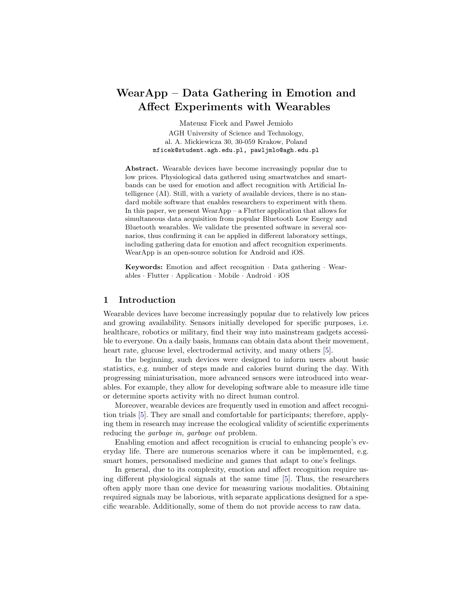# WearApp – Data Gathering in Emotion and Affect Experiments with Wearables

Mateusz Ficek and Paweł Jemioło AGH University of Science and Technology, al. A. Mickiewicza 30, 30-059 Krakow, Poland mficek@student.agh.edu.pl, pawljmlo@agh.edu.pl

Abstract. Wearable devices have become increasingly popular due to low prices. Physiological data gathered using smartwatches and smartbands can be used for emotion and affect recognition with Artificial Intelligence (AI). Still, with a variety of available devices, there is no standard mobile software that enables researchers to experiment with them. In this paper, we present WearApp – a Flutter application that allows for simultaneous data acquisition from popular Bluetooth Low Energy and Bluetooth wearables. We validate the presented software in several scenarios, thus confirming it can be applied in different laboratory settings, including gathering data for emotion and affect recognition experiments. WearApp is an open-source solution for Android and iOS.

Keywords: Emotion and affect recognition · Data gathering · Wearables · Flutter · Application · Mobile · Android · iOS

# 1 Introduction

Wearable devices have become increasingly popular due to relatively low prices and growing availability. Sensors initially developed for specific purposes, i.e. healthcare, robotics or military, find their way into mainstream gadgets accessible to everyone. On a daily basis, humans can obtain data about their movement, heart rate, glucose level, electrodermal activity, and many others [\[5\]](#page-3-0).

In the beginning, such devices were designed to inform users about basic statistics, e.g. number of steps made and calories burnt during the day. With progressing miniaturisation, more advanced sensors were introduced into wearables. For example, they allow for developing software able to measure idle time or determine sports activity with no direct human control.

Moreover, wearable devices are frequently used in emotion and affect recognition trials [\[5\]](#page-3-0). They are small and comfortable for participants; therefore, applying them in research may increase the ecological validity of scientific experiments reducing the *garbage in, garbage out* problem.

Enabling emotion and affect recognition is crucial to enhancing people's everyday life. There are numerous scenarios where it can be implemented, e.g. smart homes, personalised medicine and games that adapt to one's feelings.

In general, due to its complexity, emotion and affect recognition require using different physiological signals at the same time [\[5\]](#page-3-0). Thus, the researchers often apply more than one device for measuring various modalities. Obtaining required signals may be laborious, with separate applications designed for a specific wearable. Additionally, some of them do not provide access to raw data.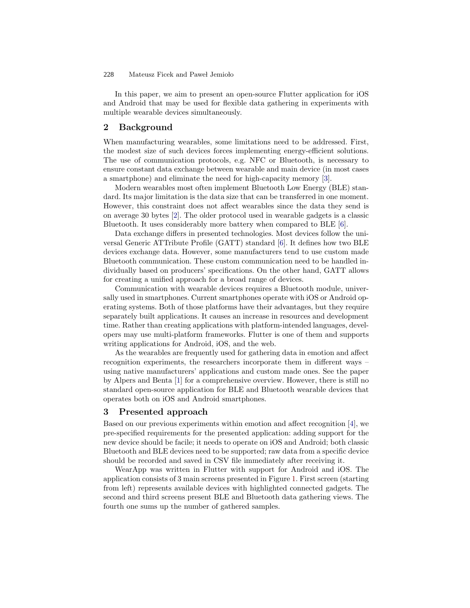#### Mateusz Ficek and Paweł Jemioło 228

In this paper, we aim to present an open-source Flutter application for iOS and Android that may be used for flexible data gathering in experiments with multiple wearable devices simultaneously.

## 2 Background

When manufacturing wearables, some limitations need to be addressed. First, the modest size of such devices forces implementing energy-efficient solutions. The use of communication protocols, e.g. NFC or Bluetooth, is necessary to ensure constant data exchange between wearable and main device (in most cases a smartphone) and eliminate the need for high-capacity memory [\[3\]](#page-3-1).

Modern wearables most often implement Bluetooth Low Energy (BLE) standard. Its major limitation is the data size that can be transferred in one moment. However, this constraint does not affect wearables since the data they send is on average 30 bytes [\[2\]](#page-3-2). The older protocol used in wearable gadgets is a classic Bluetooth. It uses considerably more battery when compared to BLE [\[6\]](#page-3-3).

Data exchange differs in presented technologies. Most devices follow the universal Generic ATTribute Profile (GATT) standard [\[6\]](#page-3-3). It defines how two BLE devices exchange data. However, some manufacturers tend to use custom made Bluetooth communication. These custom communication need to be handled individually based on producers' specifications. On the other hand, GATT allows for creating a unified approach for a broad range of devices.

Communication with wearable devices requires a Bluetooth module, universally used in smartphones. Current smartphones operate with iOS or Android operating systems. Both of those platforms have their advantages, but they require separately built applications. It causes an increase in resources and development time. Rather than creating applications with platform-intended languages, developers may use multi-platform frameworks. Flutter is one of them and supports writing applications for Android, iOS, and the web.

As the wearables are frequently used for gathering data in emotion and affect recognition experiments, the researchers incorporate them in different ways – using native manufacturers' applications and custom made ones. See the paper by Alpers and Benta [\[1\]](#page-3-4) for a comprehensive overview. However, there is still no standard open-source application for BLE and Bluetooth wearable devices that operates both on iOS and Android smartphones.

# 3 Presented approach

Based on our previous experiments within emotion and affect recognition [\[4\]](#page-3-5), we pre-specified requirements for the presented application: adding support for the new device should be facile; it needs to operate on iOS and Android; both classic Bluetooth and BLE devices need to be supported; raw data from a specific device should be recorded and saved in CSV file immediately after receiving it.

WearApp was written in Flutter with support for Android and iOS. The application consists of 3 main screens presented in Figure [1.](#page-2-0) First screen (starting from left) represents available devices with highlighted connected gadgets. The second and third screens present BLE and Bluetooth data gathering views. The fourth one sums up the number of gathered samples.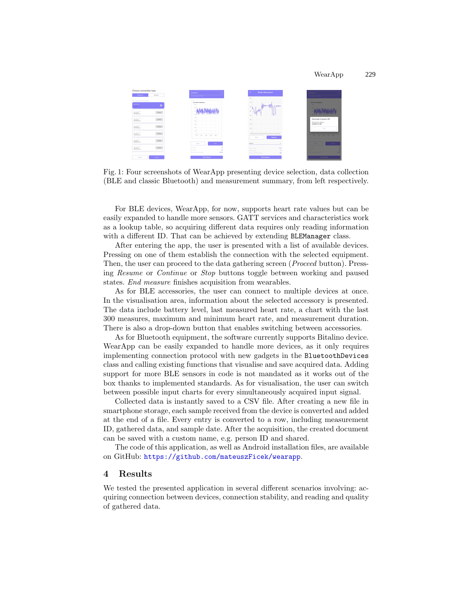#### WearApp 229

<span id="page-2-0"></span>

Fig. 1: Four screenshots of WearApp presenting device selection, data collection (BLE and classic Bluetooth) and measurement summary, from left respectively.

For BLE devices, WearApp, for now, supports heart rate values but can be easily expanded to handle more sensors. GATT services and characteristics work as a lookup table, so acquiring different data requires only reading information with a different ID. That can be achieved by extending BLEManager class.

After entering the app, the user is presented with a list of available devices. Pressing on one of them establish the connection with the selected equipment. Then, the user can proceed to the data gathering screen (*Proceed* button). Pressing Resume or Continue or Stop buttons toggle between working and paused states. End measure finishes acquisition from wearables.

As for BLE accessories, the user can connect to multiple devices at once. In the visualisation area, information about the selected accessory is presented. The data include battery level, last measured heart rate, a chart with the last 300 measures, maximum and minimum heart rate, and measurement duration. There is also a drop-down button that enables switching between accessories.

As for Bluetooth equipment, the software currently supports Bitalino device. WearApp can be easily expanded to handle more devices, as it only requires implementing connection protocol with new gadgets in the BluetoothDevices class and calling existing functions that visualise and save acquired data. Adding support for more BLE sensors in code is not mandated as it works out of the box thanks to implemented standards. As for visualisation, the user can switch between possible input charts for every simultaneously acquired input signal.

Collected data is instantly saved to a CSV file. After creating a new file in smartphone storage, each sample received from the device is converted and added at the end of a file. Every entry is converted to a row, including measurement ID, gathered data, and sample date. After the acquisition, the created document can be saved with a custom name, e.g. person ID and shared.

The code of this application, as well as Android installation files, are available on GitHub: <https://github.com/mateuszFicek/wearapp>.

### 4 Results

We tested the presented application in several different scenarios involving: acquiring connection between devices, connection stability, and reading and quality of gathered data.